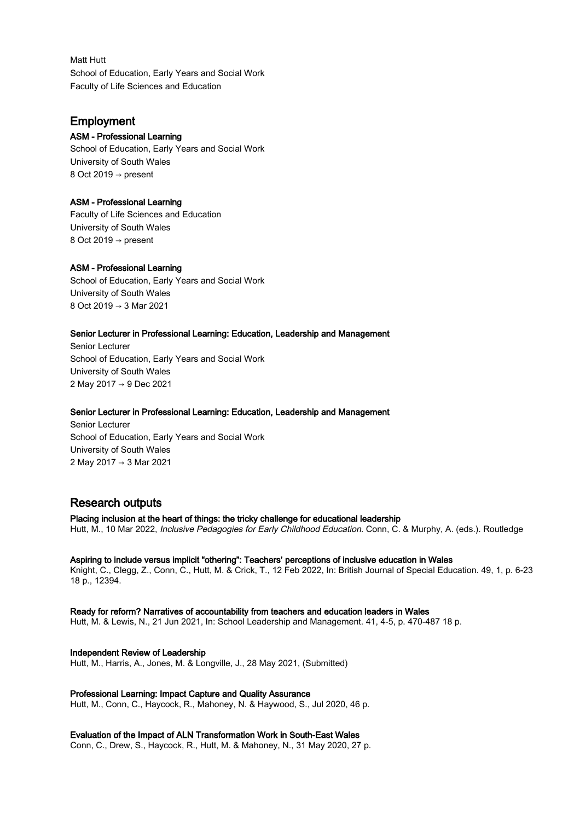Matt Hutt School of Education, Early Years and Social Work Faculty of Life Sciences and Education

# Employment

### ASM - Professional Learning

School of Education, Early Years and Social Work University of South Wales 8 Oct 2019 → present

### ASM - Professional Learning

Faculty of Life Sciences and Education University of South Wales 8 Oct 2019 → present

## ASM - Professional Learning

School of Education, Early Years and Social Work University of South Wales 8 Oct 2019 → 3 Mar 2021

### Senior Lecturer in Professional Learning: Education, Leadership and Management

Senior Lecturer School of Education, Early Years and Social Work University of South Wales 2 May 2017 → 9 Dec 2021

### Senior Lecturer in Professional Learning: Education, Leadership and Management

Senior Lecturer School of Education, Early Years and Social Work University of South Wales 2 May 2017 → 3 Mar 2021

# Research outputs

Placing inclusion at the heart of things: the tricky challenge for educational leadership Hutt, M., 10 Mar 2022, Inclusive Pedagogies for Early Childhood Education. Conn, C. & Murphy, A. (eds.). Routledge

### Aspiring to include versus implicit "othering": Teachers' perceptions of inclusive education in Wales

Knight, C., Clegg, Z., Conn, C., Hutt, M. & Crick, T., 12 Feb 2022, In: British Journal of Special Education. 49, 1, p. 6-23 18 p., 12394.

Ready for reform? Narratives of accountability from teachers and education leaders in Wales Hutt, M. & Lewis, N., 21 Jun 2021, In: School Leadership and Management. 41, 4-5, p. 470-487 18 p.

Independent Review of Leadership Hutt, M., Harris, A., Jones, M. & Longville, J., 28 May 2021, (Submitted)

Professional Learning: Impact Capture and Quality Assurance Hutt, M., Conn, C., Haycock, R., Mahoney, N. & Haywood, S., Jul 2020, 46 p.

## Evaluation of the Impact of ALN Transformation Work in South-East Wales

Conn, C., Drew, S., Haycock, R., Hutt, M. & Mahoney, N., 31 May 2020, 27 p.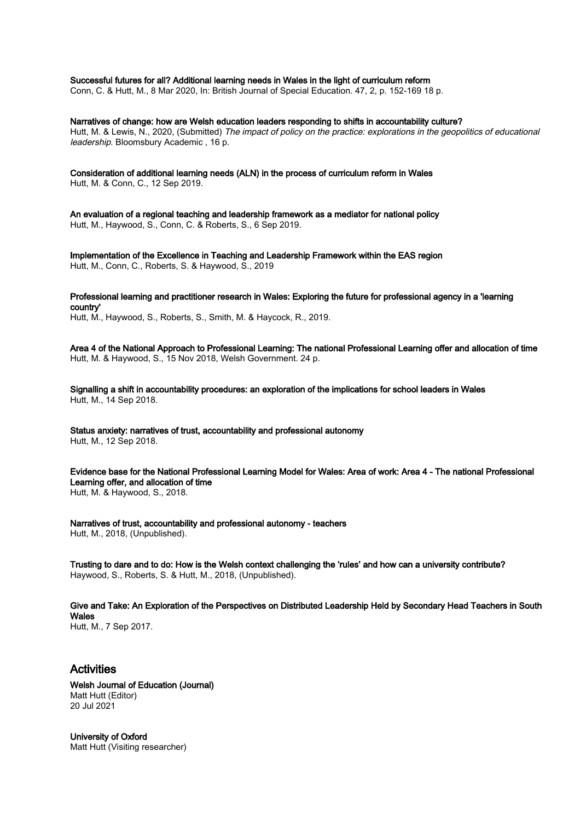Successful futures for all? Additional learning needs in Wales in the light of curriculum reform

Conn, C. & Hutt, M., 8 Mar 2020, In: British Journal of Special Education. 47, 2, p. 152-169 18 p.

Narratives of change: how are Welsh education leaders responding to shifts in accountability culture? Hutt, M. & Lewis, N., 2020, (Submitted) The impact of policy on the practice: explorations in the geopolitics of educational leadership. Bloomsbury Academic , 16 p.

Consideration of additional learning needs (ALN) in the process of curriculum reform in Wales Hutt, M. & Conn, C., 12 Sep 2019.

An evaluation of a regional teaching and leadership framework as a mediator for national policy Hutt, M., Haywood, S., Conn, C. & Roberts, S., 6 Sep 2019.

Implementation of the Excellence in Teaching and Leadership Framework within the EAS region Hutt, M., Conn, C., Roberts, S. & Haywood, S., 2019

Professional learning and practitioner research in Wales: Exploring the future for professional agency in a 'learning country' Hutt, M., Haywood, S., Roberts, S., Smith, M. & Haycock, R., 2019.

Area 4 of the National Approach to Professional Learning: The national Professional Learning offer and allocation of time Hutt, M. & Haywood, S., 15 Nov 2018, Welsh Government. 24 p.

Signalling a shift in accountability procedures: an exploration of the implications for school leaders in Wales Hutt, M., 14 Sep 2018.

Status anxiety: narratives of trust, accountability and professional autonomy Hutt, M., 12 Sep 2018.

Evidence base for the National Professional Learning Model for Wales: Area of work: Area 4 - The national Professional Learning offer, and allocation of time

Hutt, M. & Haywood, S., 2018.

Narratives of trust, accountability and professional autonomy - teachers Hutt, M., 2018, (Unpublished).

Trusting to dare and to do: How is the Welsh context challenging the 'rules' and how can a university contribute? Haywood, S., Roberts, S. & Hutt, M., 2018, (Unpublished).

Give and Take: An Exploration of the Perspectives on Distributed Leadership Held by Secondary Head Teachers in South **Wales** 

Hutt, M., 7 Sep 2017.

# Activities

Welsh Journal of Education (Journal) Matt Hutt (Editor) 20 Jul 2021

University of Oxford Matt Hutt (Visiting researcher)